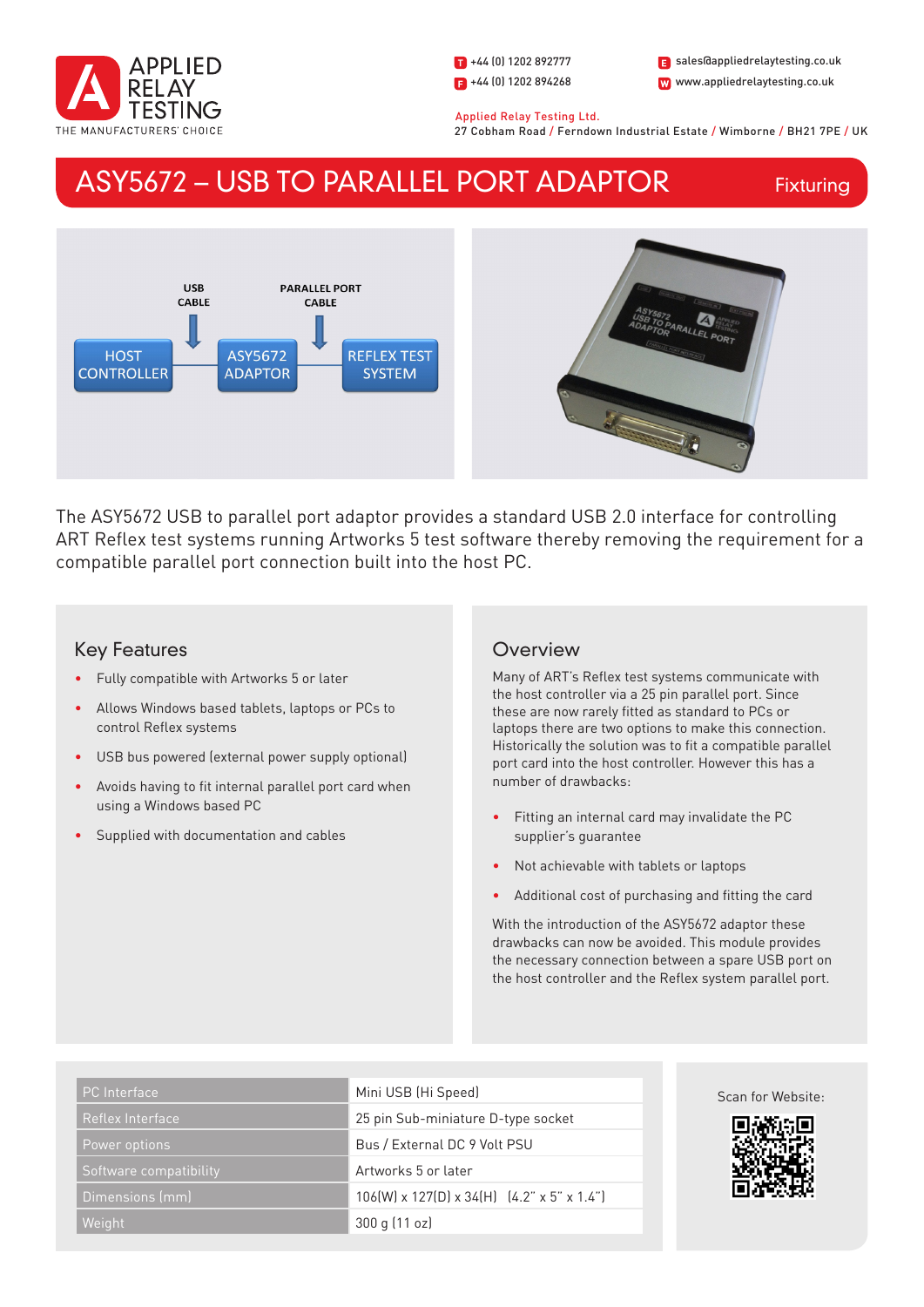

1 +44 (0) 1202 892777  $\blacksquare$  +44 (0) 1202 894268

W www.appliedrelaytesting.co.uk sales@appliedrelaytesting.co.uk

 Applied Relay Testing Ltd. 27 Cobham Road / Ferndown Industrial Estate / Wimborne / BH21 7PE / UK

# ASY5672 – USB TO PARALLEL PORT ADAPTOR

Fixturing



The ASY5672 USB to parallel port adaptor provides a standard USB 2.0 interface for controlling ART Reflex test systems running Artworks 5 test software thereby removing the requirement for a compatible parallel port connection built into the host PC.

## Key Features

- Fully compatible with Artworks 5 or later
- Allows Windows based tablets, laptops or PCs to control Reflex systems
- USB bus powered (external power supply optional)
- Avoids having to fit internal parallel port card when using a Windows based PC
- Supplied with documentation and cables

## **Overview**

Many of ART's Reflex test systems communicate with the host controller via a 25 pin parallel port. Since these are now rarely fitted as standard to PCs or laptops there are two options to make this connection. Historically the solution was to fit a compatible parallel port card into the host controller. However this has a number of drawbacks:

- Fitting an internal card may invalidate the PC supplier's guarantee
- Not achievable with tablets or laptops
- Additional cost of purchasing and fitting the card

With the introduction of the ASY5672 adaptor these drawbacks can now be avoided. This module provides the necessary connection between a spare USB port on the host controller and the Reflex system parallel port.

| <b>PC</b> Interface    | Mini USB (Hi Speed)                           | Scan for Website: |
|------------------------|-----------------------------------------------|-------------------|
| Reflex Interface       | 25 pin Sub-miniature D-type socket            | 回游游回              |
| Power options          | Bus / External DC 9 Volt PSU                  |                   |
| Software compatibility | Artworks 5 or later                           |                   |
| Dimensions (mm)        | $106(W)$ x 127(D) x 34(H) $(4.2"$ x 5" x 1.4" |                   |
| Weight                 | 300 g (11 oz)                                 |                   |